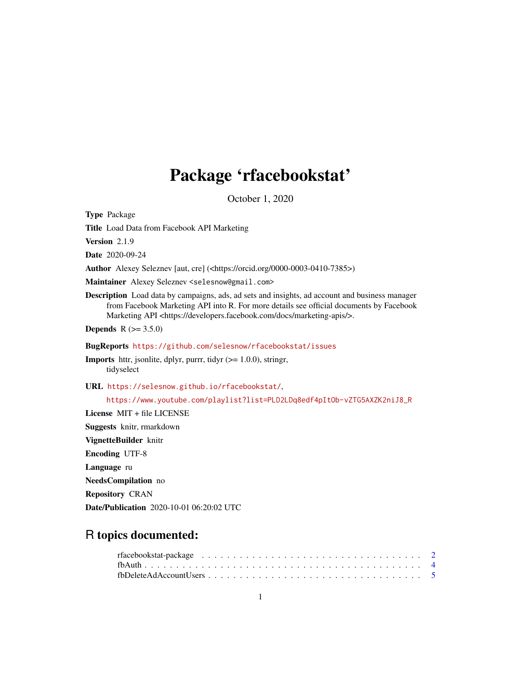## Package 'rfacebookstat'

October 1, 2020

Type Package Title Load Data from Facebook API Marketing Version 2.1.9 Date 2020-09-24 Author Alexey Seleznev [aut, cre] (<https://orcid.org/0000-0003-0410-7385>) Maintainer Alexey Seleznev <selesnow@gmail.com> Description Load data by campaigns, ads, ad sets and insights, ad account and business manager from Facebook Marketing API into R. For more details see official documents by Facebook Marketing API <https://developers.facebook.com/docs/marketing-apis/>. **Depends**  $R (= 3.5.0)$ BugReports <https://github.com/selesnow/rfacebookstat/issues> **Imports** httr, jsonlite, dplyr, purrr, tidyr  $(>= 1.0.0)$ , stringr, tidyselect URL <https://selesnow.github.io/rfacebookstat/>, [https://www.youtube.com/playlist?list=PLD2LDq8edf4pItOb-vZTG5AXZK2niJ8\\_R](https://www.youtube.com/playlist?list=PLD2LDq8edf4pItOb-vZTG5AXZK2niJ8_R) License MIT + file LICENSE Suggests knitr, rmarkdown VignetteBuilder knitr Encoding UTF-8 Language ru NeedsCompilation no Repository CRAN

Date/Publication 2020-10-01 06:20:02 UTC

## R topics documented: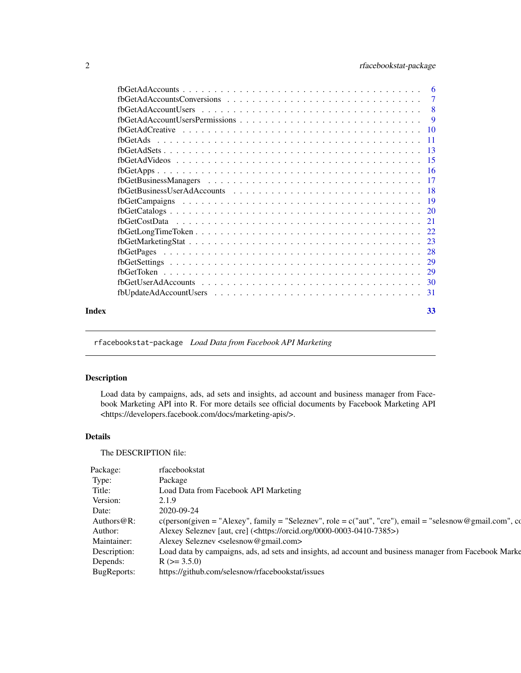<span id="page-1-0"></span>

| Index | 33 |
|-------|----|

rfacebookstat-package *Load Data from Facebook API Marketing*

## Description

Load data by campaigns, ads, ad sets and insights, ad account and business manager from Facebook Marketing API into R. For more details see official documents by Facebook Marketing API <https://developers.facebook.com/docs/marketing-apis/>.

## Details

The DESCRIPTION file:

| Package:       | rfacebookstat                                                                                                                                           |
|----------------|---------------------------------------------------------------------------------------------------------------------------------------------------------|
| Type:          | Package                                                                                                                                                 |
| Title:         | Load Data from Facebook API Marketing                                                                                                                   |
| Version:       | 2.1.9                                                                                                                                                   |
| Date:          | 2020-09-24                                                                                                                                              |
| Authors $@R$ : | $c(\text{person}(\text{given} = "Alexey", \text{family} = "Seleznev", \text{role} = c("aut", "cre"), \text{email} = "selesnow @ \text{gmail.com", cc})$ |
| Author:        | Alexey Seleznev [aut, cre] ( <https: 0000-0003-0410-7385="" orcid.org="">)</https:>                                                                     |
| Maintainer:    | Alexey Seleznev <selesnow@gmail.com></selesnow@gmail.com>                                                                                               |
| Description:   | Load data by campaigns, ads, ad sets and insights, ad account and business manager from Facebook Marke                                                  |
| Depends:       | $R$ ( $> = 3.5.0$ )                                                                                                                                     |
| BugReports:    | https://github.com/selesnow/rfacebookstat/issues                                                                                                        |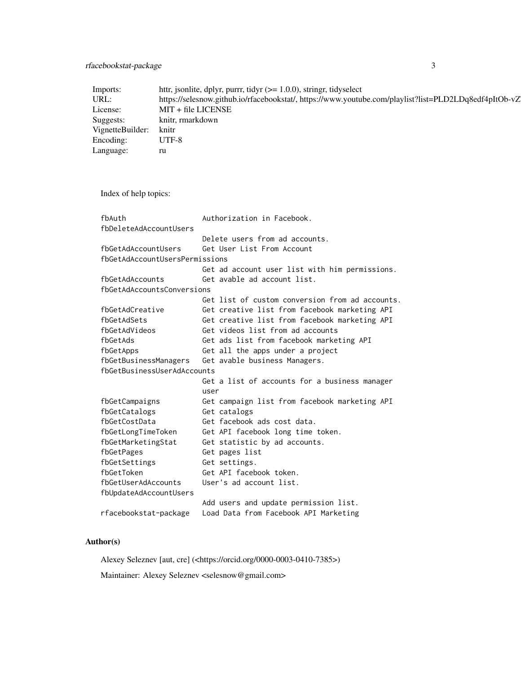## rfacebookstat-package 3

| Imports:                      | httr, jsonlite, dplyr, purrr, tidyr $(>= 1.0.0)$ , stringr, tidyselect                                                        |
|-------------------------------|-------------------------------------------------------------------------------------------------------------------------------|
| URL:<br>License:              | https://selesnow.github.io/rfacebookstat/, https://www.youtube.com/playlist?list=PLD2LDq8edf4pItOb-vZ<br>$MIT + file LICENSE$ |
|                               |                                                                                                                               |
| Suggests:                     | knitr, rmarkdown<br>knitr                                                                                                     |
| VignetteBuilder:<br>Encoding: | UTF-8                                                                                                                         |
|                               |                                                                                                                               |
| Language:                     | ru                                                                                                                            |
|                               |                                                                                                                               |
| Index of help topics:         |                                                                                                                               |
| fbAuth                        | Authorization in Facebook.                                                                                                    |
| fbDeleteAdAccountUsers        |                                                                                                                               |
|                               | Delete users from ad accounts.                                                                                                |
| fbGetAdAccountUsers           | Get User List From Account                                                                                                    |
|                               | fbGetAdAccountUsersPermissions                                                                                                |
|                               | Get ad account user list with him permissions.                                                                                |
| fbGetAdAccounts               | Get avable ad account list.                                                                                                   |
| fbGetAdAccountsConversions    |                                                                                                                               |
|                               | Get list of custom conversion from ad accounts.                                                                               |
| fbGetAdCreative               | Get creative list from facebook marketing API                                                                                 |
| fbGetAdSets                   | Get creative list from facebook marketing API                                                                                 |
| fbGetAdVideos                 | Get videos list from ad accounts                                                                                              |
| fbGetAds                      | Get ads list from facebook marketing API                                                                                      |
| fbGetApps                     | Get all the apps under a project                                                                                              |
| fbGetBusinessManagers         | Get avable business Managers.                                                                                                 |
| fbGetBusinessUserAdAccounts   |                                                                                                                               |
|                               | Get a list of accounts for a business manager                                                                                 |
| fbGetCampaigns                | user<br>Get campaign list from facebook marketing API                                                                         |
| fbGetCatalogs                 | Get catalogs                                                                                                                  |
| fbGetCostData                 | Get facebook ads cost data.                                                                                                   |
| fbGetLongTimeToken            | Get API facebook long time token.                                                                                             |
| fbGetMarketingStat            | Get statistic by ad accounts.                                                                                                 |
| fbGetPages                    | Get pages list                                                                                                                |
| fbGetSettings                 | Get settings.                                                                                                                 |
| fbGetToken                    | Get API facebook token.                                                                                                       |
| fbGetUserAdAccounts           | User's ad account list.                                                                                                       |
| fbUpdateAdAccountUsers        |                                                                                                                               |
|                               | Add users and update permission list.                                                                                         |
| rfacebookstat-package         | Load Data from Facebook API Marketing                                                                                         |

## Author(s)

Alexey Seleznev [aut, cre] (<https://orcid.org/0000-0003-0410-7385>)

Maintainer: Alexey Seleznev <selesnow@gmail.com>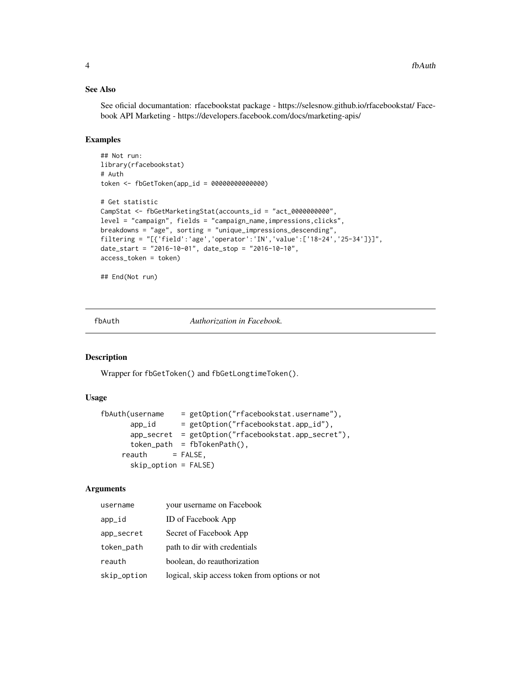## See Also

See oficial documantation: rfacebookstat package - https://selesnow.github.io/rfacebookstat/ Facebook API Marketing - https://developers.facebook.com/docs/marketing-apis/

## Examples

```
## Not run:
library(rfacebookstat)
# Auth
token <- fbGetToken(app_id = 00000000000000)
# Get statistic
CampStat <- fbGetMarketingStat(accounts_id = "act_0000000000",
level = "campaign", fields = "campaign_name,impressions,clicks",
breakdowns = "age", sorting = "unique_impressions_descending",
filtering = "[{'field':'age','operator':'IN','value':['18-24','25-34']}]",
date_start = "2016-10-01", date_stop = "2016-10-10",
access_token = token)
```

```
## End(Not run)
```
fbAuth *Authorization in Facebook.*

#### Description

Wrapper for fbGetToken() and fbGetLongtimeToken().

#### Usage

```
fbAuth(username = getOption("rfacebookstat.username"),
      app_id = getOption("rfacebookstat.app_id"),
      app_secret = getOption("rfacebookstat.app_secret"),
      token_path = fbTokenPath(),
    reakh = FALSE,
      skip_option = FALSE)
```
#### Arguments

| username    | your username on Facebook                      |
|-------------|------------------------------------------------|
| app_id      | <b>ID</b> of Facebook App                      |
| app_secret  | Secret of Facebook App                         |
| token_path  | path to dir with credentials                   |
| reauth      | boolean, do reauthorization                    |
| skip_option | logical, skip access token from options or not |

<span id="page-3-0"></span>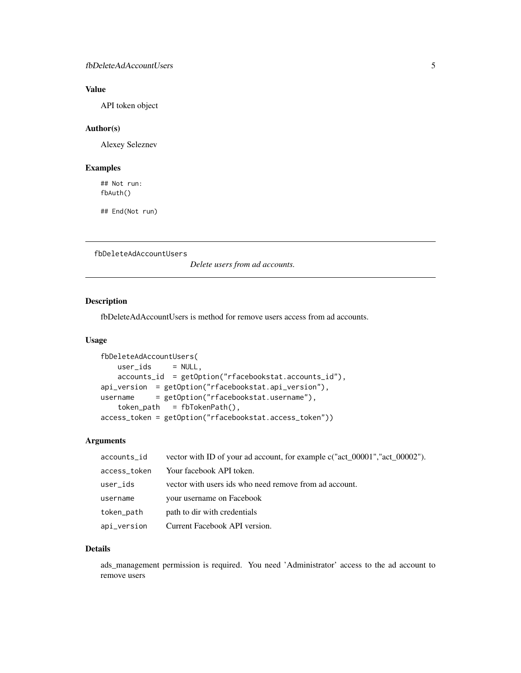## <span id="page-4-0"></span>Value

API token object

## Author(s)

Alexey Seleznev

## Examples

## Not run: fbAuth()

## End(Not run)

fbDeleteAdAccountUsers

*Delete users from ad accounts.*

## Description

fbDeleteAdAccountUsers is method for remove users access from ad accounts.

#### Usage

```
fbDeleteAdAccountUsers(
   user\_ids = NULL,accounts_id = getOption("rfacebookstat.accounts_id"),
api_version = getOption("rfacebookstat.api_version"),
username = getOption("rfacebookstat.username"),
   token\_path = fibTokenPath(),
access_token = getOption("rfacebookstat.access_token"))
```
## Arguments

| accounts_id  | vector with ID of your ad account, for example c("act_00001","act_00002"). |
|--------------|----------------------------------------------------------------------------|
| access_token | Your facebook API token.                                                   |
| user_ids     | vector with users ids who need remove from ad account.                     |
| username     | your username on Facebook                                                  |
| token_path   | path to dir with credentials                                               |
| api_version  | Current Facebook API version.                                              |

#### Details

ads\_management permission is required. You need 'Administrator' access to the ad account to remove users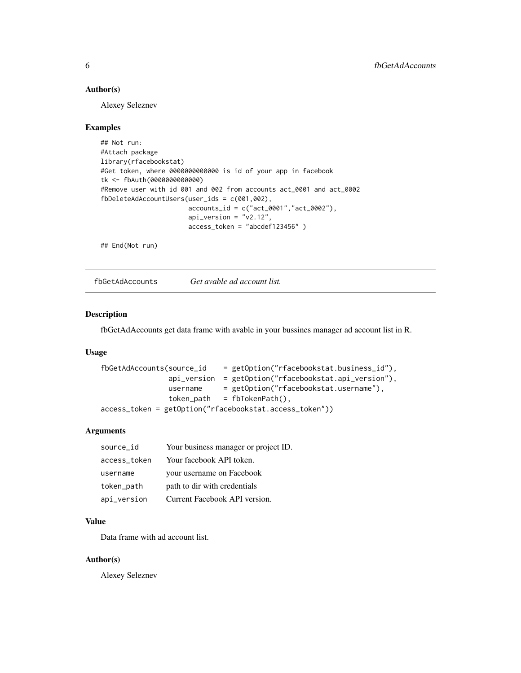#### <span id="page-5-0"></span>Author(s)

Alexey Seleznev

#### Examples

```
## Not run:
#Attach package
library(rfacebookstat)
#Get token, where 0000000000000 is id of your app in facebook
tk <- fbAuth(0000000000000)
#Remove user with id 001 and 002 from accounts act_0001 and act_0002
fbDeleteAdAccountUsers(user_ids = c(001,002),
                       accounts_id = c("act_0001","act_0002"),
                       api\_version = "v2.12",access_token = "abcdef123456" )
```
## End(Not run)

fbGetAdAccounts *Get avable ad account list.*

## Description

fbGetAdAccounts get data frame with avable in your bussines manager ad account list in R.

#### Usage

```
fbGetAdAccounts(source_id = getOption("rfacebookstat.business_id"),
               api_version = getOption("rfacebookstat.api_version"),
               username = getOption("rfacebookstat.username"),
               token_path = fbTokenPath(),
access_token = getOption("rfacebookstat.access_token"))
```
#### Arguments

| source_id    | Your business manager or project ID. |
|--------------|--------------------------------------|
| access_token | Your facebook API token.             |
| username     | your username on Facebook            |
| token_path   | path to dir with credentials         |
| api_version  | Current Facebook API version.        |

## Value

Data frame with ad account list.

#### Author(s)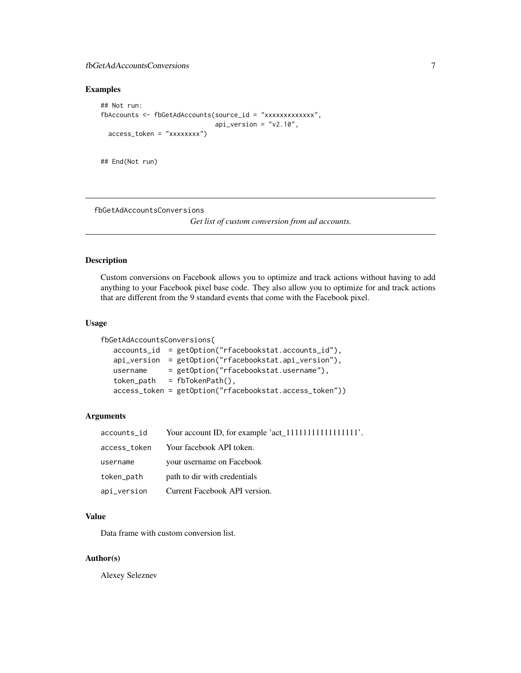## <span id="page-6-0"></span>fbGetAdAccountsConversions 7

## Examples

```
## Not run:
fbAccounts <- fbGetAdAccounts(source_id = "xxxxxxxxxxxxx",
                              api_version = "v2.10",
 access_token = "xxxxxxxx")
```
## End(Not run)

fbGetAdAccountsConversions

*Get list of custom conversion from ad accounts.*

## Description

Custom conversions on Facebook allows you to optimize and track actions without having to add anything to your Facebook pixel base code. They also allow you to optimize for and track actions that are different from the 9 standard events that come with the Facebook pixel.

## Usage

```
fbGetAdAccountsConversions(
  accounts_id = getOption("rfacebookstat.accounts_id"),
  api_version = getOption("rfacebookstat.api_version"),
  username = getOption("rfacebookstat.username"),
  token_path = fbTokenPath(),
  access_token = getOption("rfacebookstat.access_token"))
```
## Arguments

| accounts_id  |                               |
|--------------|-------------------------------|
| access_token | Your facebook API token.      |
| username     | your username on Facebook     |
| token_path   | path to dir with credentials  |
| api_version  | Current Facebook API version. |

#### Value

Data frame with custom conversion list.

#### Author(s)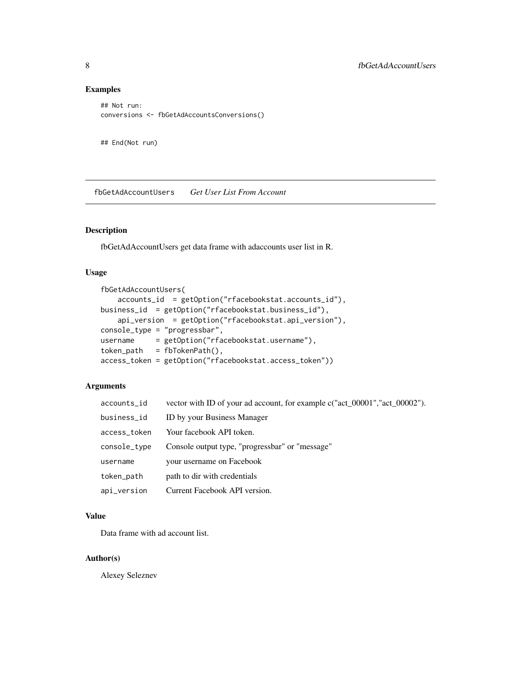## Examples

```
## Not run:
conversions <- fbGetAdAccountsConversions()
```
## End(Not run)

fbGetAdAccountUsers *Get User List From Account*

## Description

fbGetAdAccountUsers get data frame with adaccounts user list in R.

## Usage

```
fbGetAdAccountUsers(
    accounts_id = getOption("rfacebookstat.accounts_id"),
business_id = getOption("rfacebookstat.business_id"),
   api_version = getOption("rfacebookstat.api_version"),
console_type = "progressbar",
username = getOption("rfacebookstat.username"),
token_path = fbTokenPath(),
access_token = getOption("rfacebookstat.access_token"))
```
#### Arguments

| accounts_id  | vector with ID of your ad account, for example c("act_00001","act_00002"). |
|--------------|----------------------------------------------------------------------------|
| business_id  | ID by your Business Manager                                                |
| access_token | Your facebook API token.                                                   |
| console_type | Console output type, "progressbar" or "message"                            |
| username     | your username on Facebook                                                  |
| token_path   | path to dir with credentials                                               |
| api_version  | Current Facebook API version.                                              |

#### Value

Data frame with ad account list.

#### Author(s)

<span id="page-7-0"></span>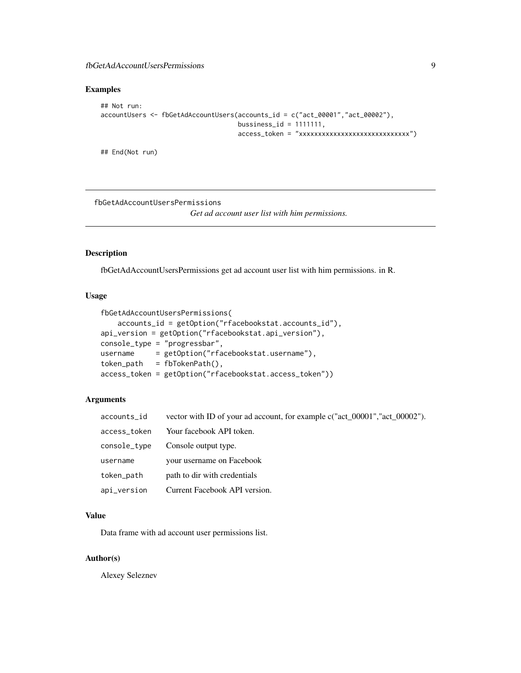## <span id="page-8-0"></span>fbGetAdAccountUsersPermissions 9

## Examples

```
## Not run:
accountUsers <- fbGetAdAccountUsers(accounts_id = c("act_00001","act_00002"),
                                    bussiness_id = 1111111,
                                    access_token = "xxxxxxxxxxxxxxxxxxxxxxxxxxxxx")
```
## End(Not run)

fbGetAdAccountUsersPermissions

*Get ad account user list with him permissions.*

## Description

fbGetAdAccountUsersPermissions get ad account user list with him permissions. in R.

#### Usage

```
fbGetAdAccountUsersPermissions(
   accounts_id = getOption("rfacebookstat.accounts_id"),
api_version = getOption("rfacebookstat.api_version"),
console_type = "progressbar",
username = getOption("rfacebookstat.username"),
token_path = fbTokenPath(),
access_token = getOption("rfacebookstat.access_token"))
```
#### Arguments

| accounts_id  | vector with ID of your ad account, for example c("act_00001","act_00002"). |
|--------------|----------------------------------------------------------------------------|
| access_token | Your facebook API token.                                                   |
| console_type | Console output type.                                                       |
| username     | your username on Facebook                                                  |
| token_path   | path to dir with credentials                                               |
| api_version  | Current Facebook API version.                                              |

#### Value

Data frame with ad account user permissions list.

#### Author(s)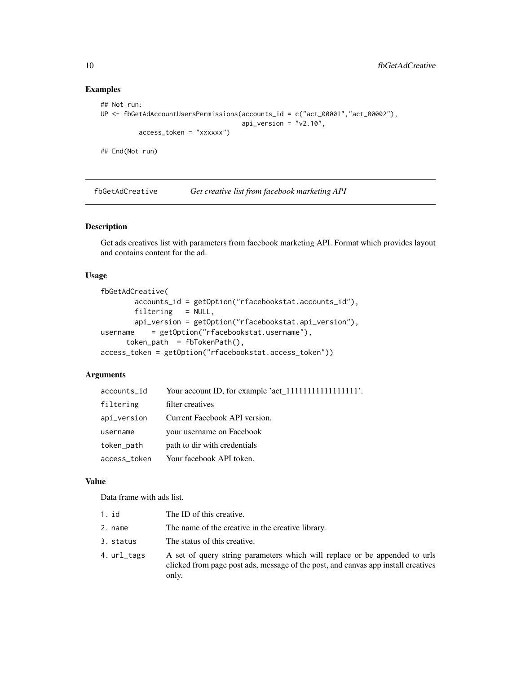## Examples

```
## Not run:
UP <- fbGetAdAccountUsersPermissions(accounts_id = c("act_00001","act_00002"),
                                     api\_version = "v2.10",access_token = "xxxxxx")
```
## End(Not run)

fbGetAdCreative *Get creative list from facebook marketing API*

## Description

Get ads creatives list with parameters from facebook marketing API. Format which provides layout and contains content for the ad.

#### Usage

```
fbGetAdCreative(
       accounts_id = getOption("rfacebookstat.accounts_id"),
       filtering = NULL,
       api_version = getOption("rfacebookstat.api_version"),
username = getOption("rfacebookstat.username"),
      token\_path = fibTokenPath(),
access_token = getOption("rfacebookstat.access_token"))
```
## Arguments

| accounts_id  |                               |
|--------------|-------------------------------|
| filtering    | filter creatives              |
| api_version  | Current Facebook API version. |
| username     | your username on Facebook     |
| token_path   | path to dir with credentials  |
| access_token | Your facebook API token.      |

## Value

Data frame with ads list.

| $1.$ id     | The ID of this creative.                                                                                                                                                 |
|-------------|--------------------------------------------------------------------------------------------------------------------------------------------------------------------------|
| 2. name     | The name of the creative in the creative library.                                                                                                                        |
| 3. status   | The status of this creative.                                                                                                                                             |
| 4. url_tags | A set of query string parameters which will replace or be appended to urls<br>clicked from page post ads, message of the post, and canvas app install creatives<br>only. |

<span id="page-9-0"></span>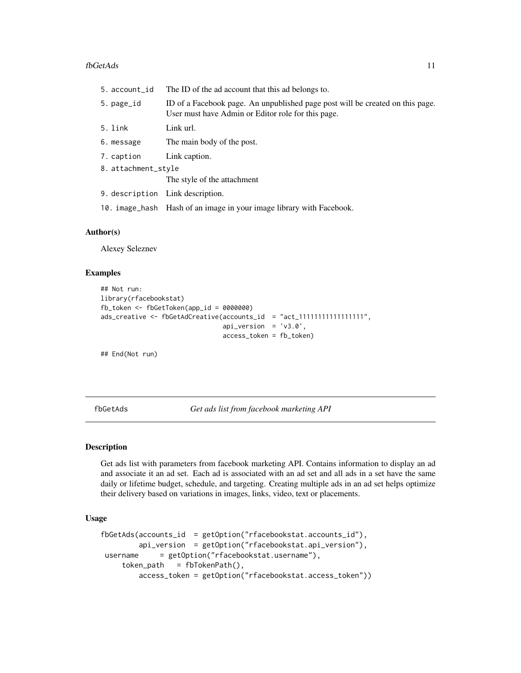#### <span id="page-10-0"></span>fbGetAds 11

| ID of a Facebook page. An unpublished page post will be created on this page. |
|-------------------------------------------------------------------------------|
|                                                                               |
|                                                                               |
|                                                                               |
|                                                                               |
|                                                                               |
|                                                                               |
|                                                                               |
|                                                                               |

#### Author(s)

Alexey Seleznev

#### Examples

```
## Not run:
library(rfacebookstat)
fb_token <- fbGetToken(app_id = 0000000)
ads_creative <- fbGetAdCreative(accounts_id = "act_1111111111111111111",
                                api_version = 'v3.0',
                                access_token = fb_token)
```
## End(Not run)

fbGetAds *Get ads list from facebook marketing API*

#### Description

Get ads list with parameters from facebook marketing API. Contains information to display an ad and associate it an ad set. Each ad is associated with an ad set and all ads in a set have the same daily or lifetime budget, schedule, and targeting. Creating multiple ads in an ad set helps optimize their delivery based on variations in images, links, video, text or placements.

#### Usage

```
fbGetAds(accounts_id = getOption("rfacebookstat.accounts_id"),
        api_version = getOption("rfacebookstat.api_version"),
username = getOption("rfacebookstat.username"),
    token_path = fbTokenPath(),
        access_token = getOption("rfacebookstat.access_token"))
```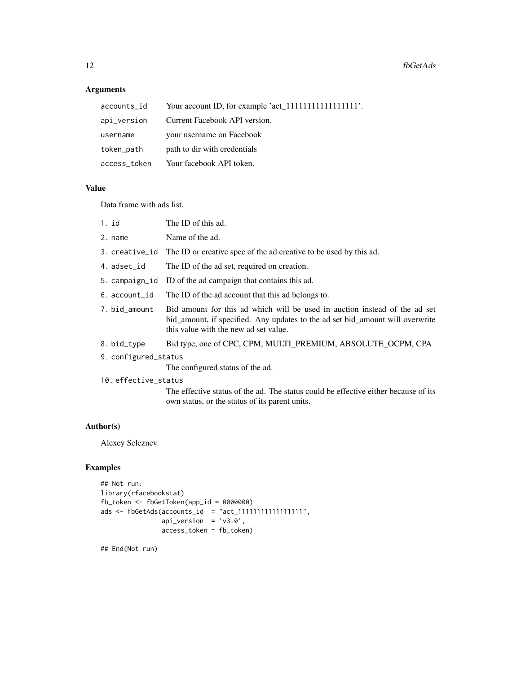#### **Arguments**

| accounts_id  | Your account ID, for example 'act_11111111111111111111111. |
|--------------|------------------------------------------------------------|
| api_version  | Current Facebook API version.                              |
| username     | your username on Facebook                                  |
| token_path   | path to dir with credentials                               |
| access_token | Your facebook API token.                                   |

#### Value

Data frame with ads list.

- 2. name Name of the ad.
- 3. creative\_id The ID or creative spec of the ad creative to be used by this ad.
- 4. adset\_id The ID of the ad set, required on creation.
- 5. campaign\_id ID of the ad campaign that contains this ad.
- 6. account\_id The ID of the ad account that this ad belongs to.
- 7. bid\_amount Bid amount for this ad which will be used in auction instead of the ad set bid\_amount, if specified. Any updates to the ad set bid\_amount will overwrite this value with the new ad set value.
- 8. bid\_type Bid type, one of CPC, CPM, MULTI\_PREMIUM, ABSOLUTE\_OCPM, CPA
- 9. configured\_status

The configured status of the ad.

10. effective\_status

The effective status of the ad. The status could be effective either because of its own status, or the status of its parent units.

## Author(s)

Alexey Seleznev

## Examples

```
## Not run:
library(rfacebookstat)
fb_token <- fbGetToken(app_id = 0000000)
ads <- fbGetAds(accounts_id = "act_11111111111111111",
                api\_version = 'v3.0',access_token = fb_token)
```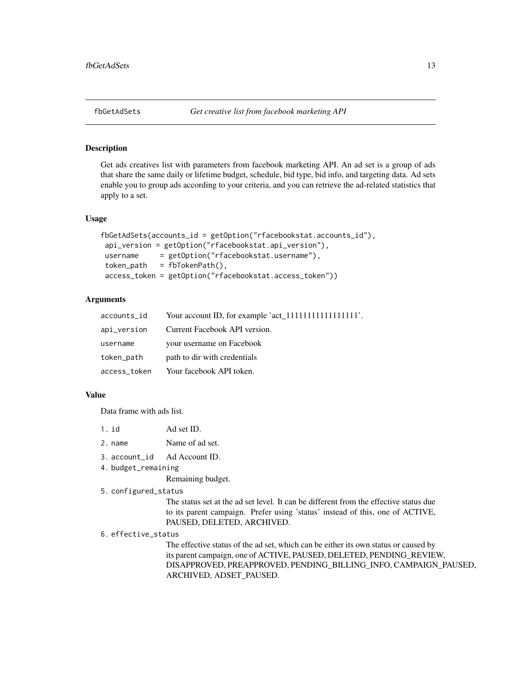#### <span id="page-12-0"></span>Description

Get ads creatives list with parameters from facebook marketing API. An ad set is a group of ads that share the same daily or lifetime budget, schedule, bid type, bid info, and targeting data. Ad sets enable you to group ads according to your criteria, and you can retrieve the ad-related statistics that apply to a set.

#### Usage

```
fbGetAdSets(accounts_id = getOption("rfacebookstat.accounts_id"),
api_version = getOption("rfacebookstat.api_version"),
username = getOption("rfacebookstat.username"),
token_path = fbTokenPath(),
access_token = getOption("rfacebookstat.access_token"))
```
### Arguments

| accounts_id  |                               |
|--------------|-------------------------------|
| api_version  | Current Facebook API version. |
| username     | your username on Facebook     |
| token_path   | path to dir with credentials  |
| access_token | Your facebook API token.      |
|              |                               |

#### Value

Data frame with ads list.

| 1. id   | Ad set ID.      |
|---------|-----------------|
| 2. name | Name of ad set. |

- 3. account\_id Ad Account ID.
- 4. budget\_remaining

Remaining budget.

#### 5. configured\_status

The status set at the ad set level. It can be different from the effective status due to its parent campaign. Prefer using 'status' instead of this, one of ACTIVE, PAUSED, DELETED, ARCHIVED.

#### 6. effective\_status

The effective status of the ad set, which can be either its own status or caused by its parent campaign, one of ACTIVE, PAUSED, DELETED, PENDING\_REVIEW, DISAPPROVED, PREAPPROVED, PENDING\_BILLING\_INFO, CAMPAIGN\_PAUSED, ARCHIVED, ADSET\_PAUSED.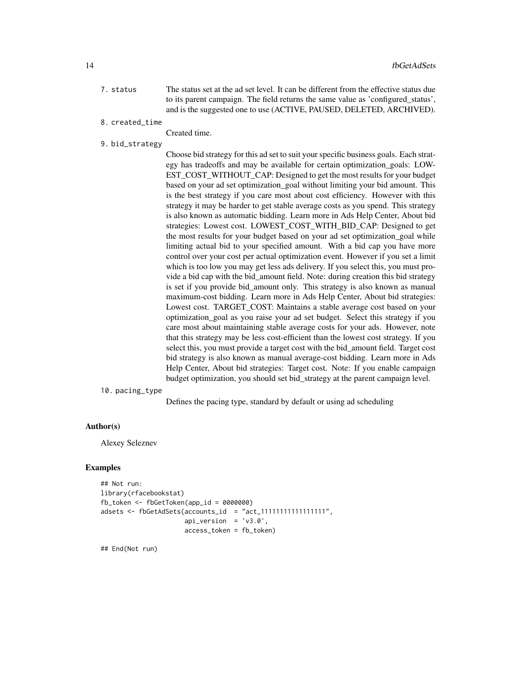- 7. status The status set at the ad set level. It can be different from the effective status due to its parent campaign. The field returns the same value as 'configured\_status', and is the suggested one to use (ACTIVE, PAUSED, DELETED, ARCHIVED).
- 8. created\_time

Created time.

9. bid\_strategy

Choose bid strategy for this ad set to suit your specific business goals. Each strategy has tradeoffs and may be available for certain optimization\_goals: LOW-EST\_COST\_WITHOUT\_CAP: Designed to get the most results for your budget based on your ad set optimization\_goal without limiting your bid amount. This is the best strategy if you care most about cost efficiency. However with this strategy it may be harder to get stable average costs as you spend. This strategy is also known as automatic bidding. Learn more in Ads Help Center, About bid strategies: Lowest cost. LOWEST\_COST\_WITH\_BID\_CAP: Designed to get the most results for your budget based on your ad set optimization\_goal while limiting actual bid to your specified amount. With a bid cap you have more control over your cost per actual optimization event. However if you set a limit which is too low you may get less ads delivery. If you select this, you must provide a bid cap with the bid\_amount field. Note: during creation this bid strategy is set if you provide bid amount only. This strategy is also known as manual maximum-cost bidding. Learn more in Ads Help Center, About bid strategies: Lowest cost. TARGET\_COST: Maintains a stable average cost based on your optimization\_goal as you raise your ad set budget. Select this strategy if you care most about maintaining stable average costs for your ads. However, note that this strategy may be less cost-efficient than the lowest cost strategy. If you select this, you must provide a target cost with the bid\_amount field. Target cost bid strategy is also known as manual average-cost bidding. Learn more in Ads Help Center, About bid strategies: Target cost. Note: If you enable campaign budget optimization, you should set bid\_strategy at the parent campaign level.

10. pacing\_type

Defines the pacing type, standard by default or using ad scheduling

## Author(s)

Alexey Seleznev

#### Examples

```
## Not run:
library(rfacebookstat)
fb_token <- fbGetToken(app_id = 0000000)
adsets <- fbGetAdSets(accounts_id = "act_11111111111111111",
                     api\_version = 'v3.0',access_token = fb_token)
```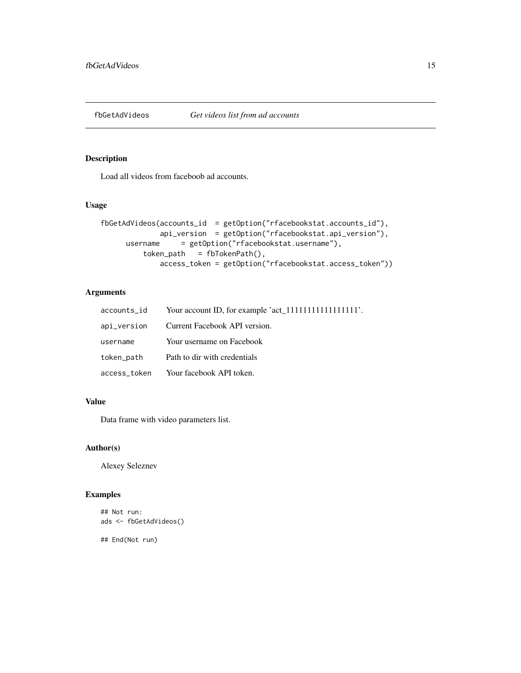<span id="page-14-0"></span>

## Description

Load all videos from faceboob ad accounts.

## Usage

```
fbGetAdVideos(accounts_id = getOption("rfacebookstat.accounts_id"),
             api_version = getOption("rfacebookstat.api_version"),
     username = getOption("rfacebookstat.username"),
         token_path = fbTokenPath(),
             access_token = getOption("rfacebookstat.access_token"))
```
## Arguments

|            | $accounts_id$ Your account ID, for example 'act_111111111111111111. |
|------------|---------------------------------------------------------------------|
|            | api_version Current Facebook API version.                           |
| username   | Your username on Facebook                                           |
| token_path | Path to dir with credentials                                        |
|            | access_token       Your facebook API token.                         |

## Value

Data frame with video parameters list.

## Author(s)

Alexey Seleznev

## Examples

```
## Not run:
ads <- fbGetAdVideos()
```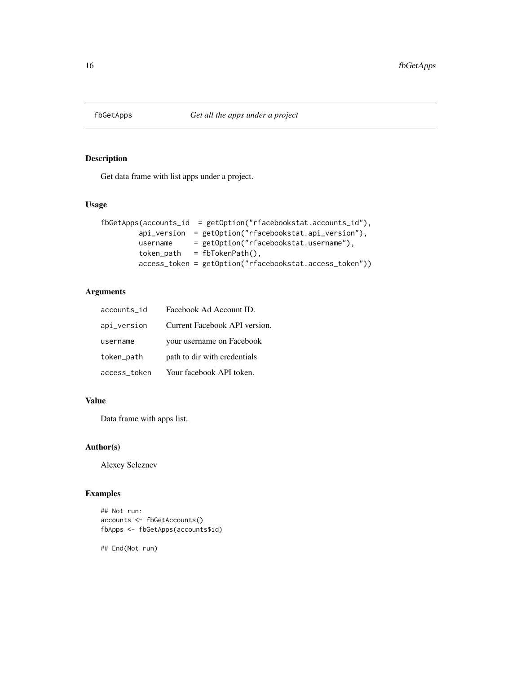<span id="page-15-0"></span>

## Description

Get data frame with list apps under a project.

## Usage

```
fbGetApps(accounts_id = getOption("rfacebookstat.accounts_id"),
        api_version = getOption("rfacebookstat.api_version"),
        username = getOption("rfacebookstat.username"),
        token_path = fbTokenPath(),
        access_token = getOption("rfacebookstat.access_token"))
```
## Arguments

| accounts_id  | Facebook Ad Account ID.       |
|--------------|-------------------------------|
| api_version  | Current Facebook API version. |
| username     | your username on Facebook     |
| token_path   | path to dir with credentials  |
| access_token | Your facebook API token.      |

## Value

Data frame with apps list.

## Author(s)

Alexey Seleznev

## Examples

```
## Not run:
accounts <- fbGetAccounts()
fbApps <- fbGetApps(accounts$id)
```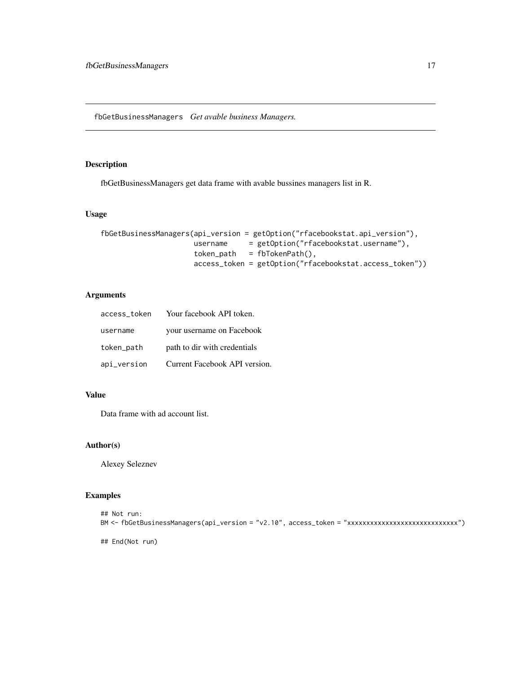<span id="page-16-0"></span>fbGetBusinessManagers *Get avable business Managers.*

## Description

fbGetBusinessManagers get data frame with avable bussines managers list in R.

#### Usage

```
fbGetBusinessManagers(api_version = getOption("rfacebookstat.api_version"),
                     username = getOption("rfacebookstat.username"),
                     token_path = fbTokenPath(),
                     access_token = getOption("rfacebookstat.access_token"))
```
## Arguments

| access token | Your facebook API token.      |
|--------------|-------------------------------|
| username     | your username on Facebook     |
| token_path   | path to dir with credentials  |
| api_version  | Current Facebook API version. |

## Value

Data frame with ad account list.

## Author(s)

Alexey Seleznev

## Examples

```
## Not run:
BM <- fbGetBusinessManagers(api_version = "v2.10", access_token = "xxxxxxxxxxxxxxxxxxxxxxxxxxxxx")
```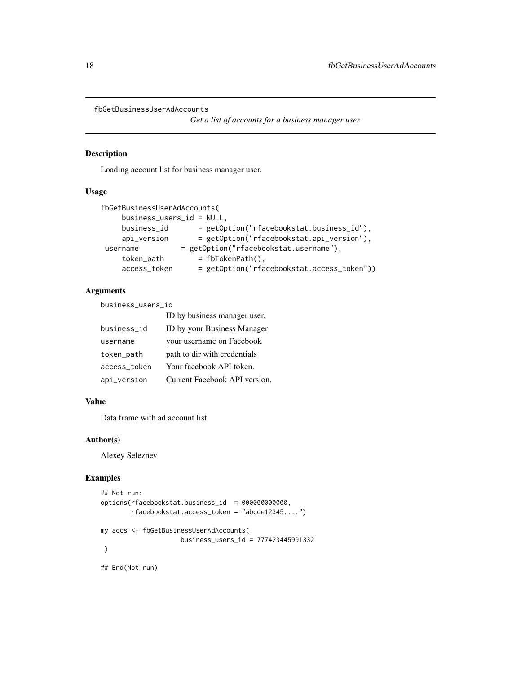```
fbGetBusinessUserAdAccounts
```
*Get a list of accounts for a business manager user*

## Description

Loading account list for business manager user.

#### Usage

```
fbGetBusinessUserAdAccounts(
     business_users_id = NULL,
     business_id = getOption("rfacebookstat.business_id"),
     api_version = getOption("rfacebookstat.api_version"),
username = getOption("rfacebookstat.username"),
    token_path = fbTokenPath(),<br>access_token = getOption("rfa
                       = getOption("rfacebookstat.access_token"))
```
#### Arguments

business\_users\_id

|              | ID by business manager user.  |
|--------------|-------------------------------|
| business_id  | ID by your Business Manager   |
| username     | your username on Facebook     |
| token_path   | path to dir with credentials  |
| access_token | Your facebook API token.      |
| api_version  | Current Facebook API version. |

## Value

Data frame with ad account list.

## Author(s)

Alexey Seleznev

#### Examples

```
## Not run:
options(rfacebookstat.business_id = 000000000000,
       rfacebookstat.access_token = "abcde12345....")
my_accs <- fbGetBusinessUserAdAccounts(
                   business_users_id = 777423445991332
)
## End(Not run)
```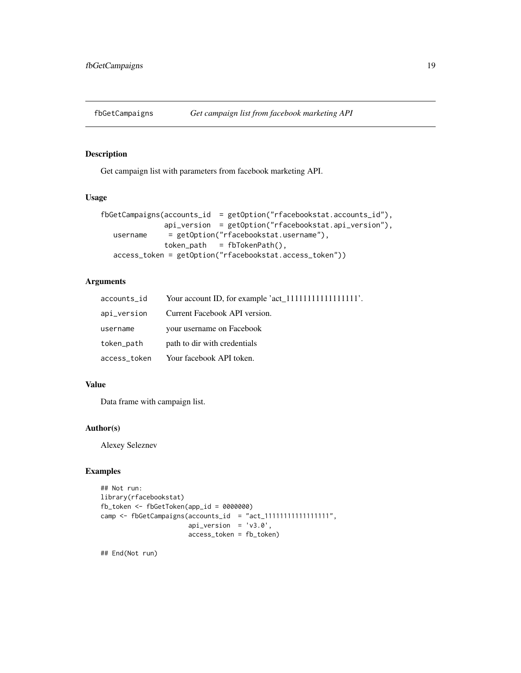<span id="page-18-0"></span>

## Description

Get campaign list with parameters from facebook marketing API.

#### Usage

```
fbGetCampaigns(accounts_id = getOption("rfacebookstat.accounts_id"),
              api_version = getOption("rfacebookstat.api_version"),
  username = getOption("rfacebookstat.username"),
              token_path = fbTokenPath(),
  access_token = getOption("rfacebookstat.access_token"))
```
## Arguments

| accounts_id  |                               |
|--------------|-------------------------------|
| api_version  | Current Facebook API version. |
| username     | your username on Facebook     |
| token_path   | path to dir with credentials  |
| access_token | Your facebook API token.      |

## Value

Data frame with campaign list.

#### Author(s)

Alexey Seleznev

#### Examples

```
## Not run:
library(rfacebookstat)
fb_token <- fbGetToken(app_id = 0000000)
camp \leq fbGetCampaigns(accounts_id = "act_1111111111111111111",
                       api\_version = 'v3.0',access_token = fb_token)
```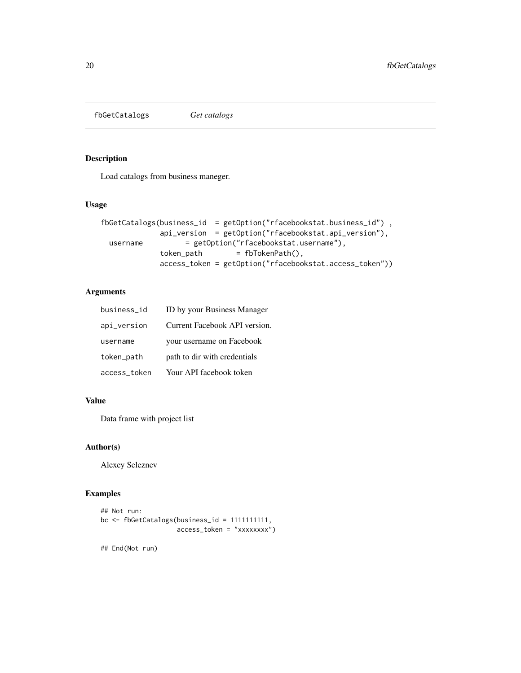<span id="page-19-0"></span>fbGetCatalogs *Get catalogs*

## Description

Load catalogs from business maneger.

## Usage

```
fbGetCatalogs(business_id = getOption("rfacebookstat.business_id") ,
             api_version = getOption("rfacebookstat.api_version"),
 username = getOption("rfacebookstat.username"),
             token_path = fbTokenPath(),
             access_token = getOption("rfacebookstat.access_token"))
```
## Arguments

| business_id  | ID by your Business Manager   |
|--------------|-------------------------------|
| api_version  | Current Facebook API version. |
| username     | your username on Facebook     |
| token_path   | path to dir with credentials  |
| access_token | Your API facebook token       |

## Value

Data frame with project list

## Author(s)

Alexey Seleznev

## Examples

```
## Not run:
bc <- fbGetCatalogs(business_id = 1111111111,
                    access_token = "xxxxxxxx")
```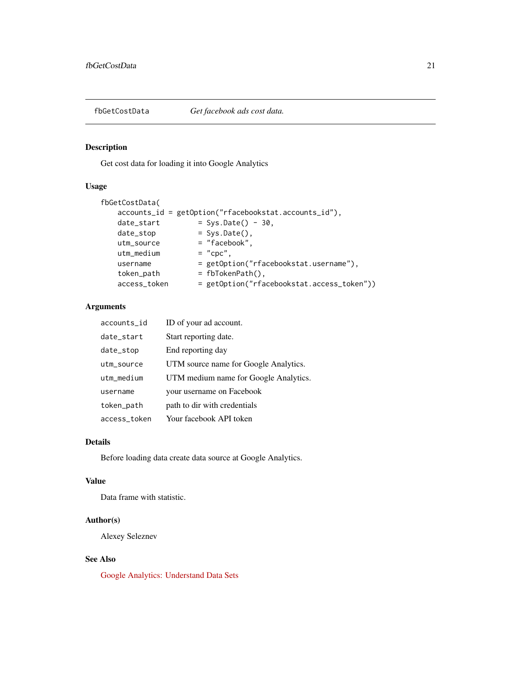<span id="page-20-0"></span>

## Description

Get cost data for loading it into Google Analytics

## Usage

```
fbGetCostData(
   accounts_id = getOption("rfacebookstat.accounts_id"),
   date\_start = Sys.Date() - 30,
   date_stop = Sys.Date(),
   utm_source = "facebook",
   utm\_medium = "cpc",
   username = getOption("rfacebookstat.username"),
   token_path = fbTokenPath(),
   access_token = getOption("rfacebookstat.access_token"))
```
## Arguments

| accounts id  | ID of your ad account.                |
|--------------|---------------------------------------|
| date_start   | Start reporting date.                 |
| date_stop    | End reporting day                     |
| utm_source   | UTM source name for Google Analytics. |
| utm_medium   | UTM medium name for Google Analytics. |
| username     | your username on Facebook             |
| token_path   | path to dir with credentials          |
| access token | Your facebook API token               |

#### Details

Before loading data create data source at Google Analytics.

## Value

Data frame with statistic.

#### Author(s)

Alexey Seleznev

## See Also

[Google Analytics: Understand Data Sets](https://support.google.com/analytics/answer/6014980)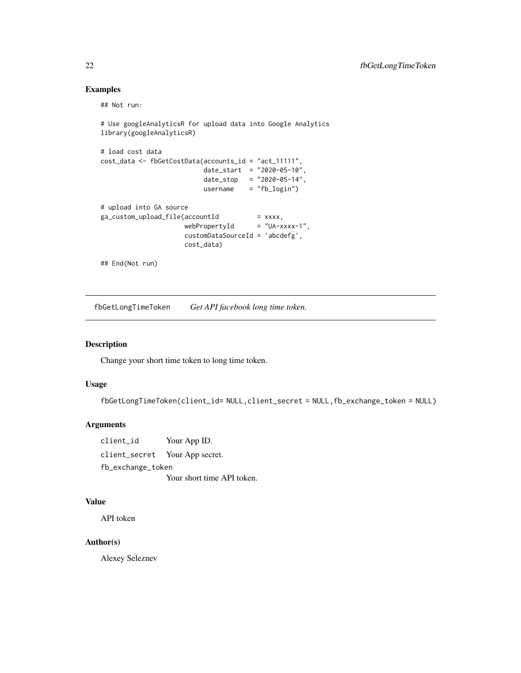## Examples

## Not run:

```
# Use googleAnalyticsR for upload data into Google Analytics
library(googleAnalyticsR)
# load cost data
cost_data <- fbGetCostData(accounts_id = "act_11111",
                            date_start = "2020-05-10",
                            date_stop = "2020-05-14",
                            username = "fb_login")
# upload into GA source
ga_custom_upload_file(accountId
                      (accountId = xxxx,<br>webPropertyId = "UA-xxxx-1",
                      customDataSourceId = 'abcdefg',
                      cost_data)
```
## End(Not run)

fbGetLongTimeToken *Get API facebook long time token.*

## Description

Change your short time token to long time token.

## Usage

fbGetLongTimeToken(client\_id= NULL,client\_secret = NULL,fb\_exchange\_token = NULL)

#### Arguments

client\_id Your App ID. client\_secret Your App secret. fb\_exchange\_token Your short time API token.

#### Value

API token

## Author(s)

<span id="page-21-0"></span>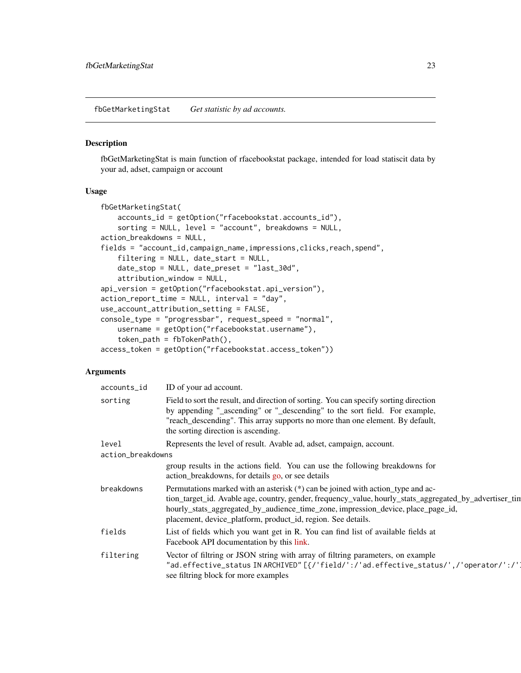<span id="page-22-0"></span>fbGetMarketingStat *Get statistic by ad accounts.*

#### Description

fbGetMarketingStat is main function of rfacebookstat package, intended for load statiscit data by your ad, adset, campaign or account

#### Usage

```
fbGetMarketingStat(
   accounts_id = getOption("rfacebookstat.accounts_id"),
   sorting = NULL, level = "account", breakdowns = NULL,
action_breakdowns = NULL,
fields = "account_id,campaign_name,impressions,clicks,reach,spend",
   filtering = NULL, date_start = NULL,
   date_stop = NULL, date_preset = "last_30d",
   attribution_window = NULL,
api_version = getOption("rfacebookstat.api_version"),
action_report_time = NULL, interval = "day",
use_account_attribution_setting = FALSE,
console_type = "progressbar", request_speed = "normal",
   username = getOption("rfacebookstat.username"),
   token_path = fbTokenPath(),
access_token = getOption("rfacebookstat.access_token"))
```
#### Arguments

| accounts_id       | ID of your ad account.                                                                                                                                                                                                                                                                                                                         |  |
|-------------------|------------------------------------------------------------------------------------------------------------------------------------------------------------------------------------------------------------------------------------------------------------------------------------------------------------------------------------------------|--|
| sorting           | Field to sort the result, and direction of sorting. You can specify sorting direction<br>by appending "_ascending" or "_descending" to the sort field. For example,<br>"reach_descending". This array supports no more than one element. By default,<br>the sorting direction is ascending.                                                    |  |
| level             | Represents the level of result. Avable ad, adset, campaign, account.                                                                                                                                                                                                                                                                           |  |
| action_breakdowns |                                                                                                                                                                                                                                                                                                                                                |  |
|                   | group results in the actions field. You can use the following breakdowns for<br>action_breakdowns, for details go, or see details                                                                                                                                                                                                              |  |
| breakdowns        | Permutations marked with an asterisk (*) can be joined with action_type and ac-<br>tion_target_id. Avable age, country, gender, frequency_value, hourly_stats_aggregated_by_advertiser_tin<br>hourly_stats_aggregated_by_audience_time_zone, impression_device, place_page_id,<br>placement, device_platform, product_id, region. See details. |  |
| fields            | List of fields which you want get in R. You can find list of available fields at<br>Facebook API documentation by this link.                                                                                                                                                                                                                   |  |
| filtering         | Vector of filtring or JSON string with array of filtring parameters, on example<br>"ad.effective_status IN ARCHIVED" [{/'field/':/'ad.effective_status/',/'operator/':/']<br>see filtring block for more examples                                                                                                                              |  |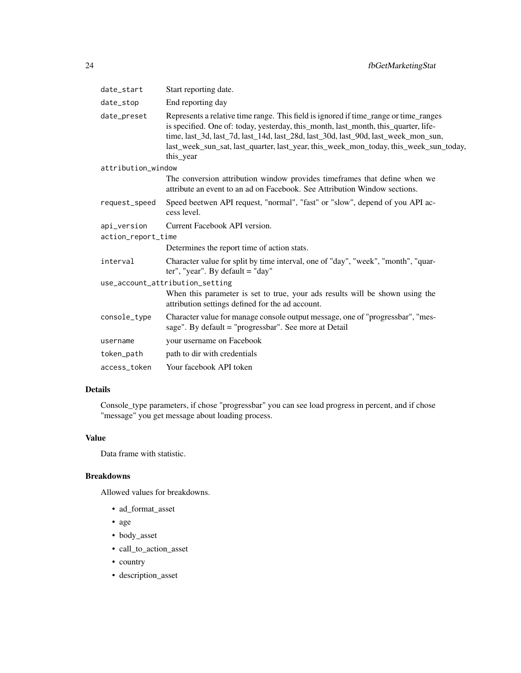| date_start         | Start reporting date.                                                                                                                                                                                                                                                                                                                                                   |
|--------------------|-------------------------------------------------------------------------------------------------------------------------------------------------------------------------------------------------------------------------------------------------------------------------------------------------------------------------------------------------------------------------|
| date_stop          | End reporting day                                                                                                                                                                                                                                                                                                                                                       |
| date_preset        | Represents a relative time range. This field is ignored if time_range or time_ranges<br>is specified. One of: today, yesterday, this_month, last_month, this_quarter, life-<br>time, last_3d, last_7d, last_14d, last_28d, last_30d, last_90d, last_week_mon_sun,<br>last_week_sun_sat, last_quarter, last_year, this_week_mon_today, this_week_sun_today,<br>this_year |
| attribution_window |                                                                                                                                                                                                                                                                                                                                                                         |
|                    | The conversion attribution window provides timeframes that define when we<br>attribute an event to an ad on Facebook. See Attribution Window sections.                                                                                                                                                                                                                  |
| request_speed      | Speed beetwen API request, "normal", "fast" or "slow", depend of you API ac-<br>cess level.                                                                                                                                                                                                                                                                             |
| api_version        | Current Facebook API version.                                                                                                                                                                                                                                                                                                                                           |
| action_report_time |                                                                                                                                                                                                                                                                                                                                                                         |
|                    | Determines the report time of action stats.                                                                                                                                                                                                                                                                                                                             |
| interval           | Character value for split by time interval, one of "day", "week", "month", "quar-<br>ter", "year". By default = "day"                                                                                                                                                                                                                                                   |
|                    | use_account_attribution_setting                                                                                                                                                                                                                                                                                                                                         |
|                    | When this parameter is set to true, your ads results will be shown using the<br>attribution settings defined for the ad account.                                                                                                                                                                                                                                        |
| console_type       | Character value for manage console output message, one of "progressbar", "mes-<br>sage". By default = "progressbar". See more at Detail                                                                                                                                                                                                                                 |
| username           | your username on Facebook                                                                                                                                                                                                                                                                                                                                               |
| token_path         | path to dir with credentials                                                                                                                                                                                                                                                                                                                                            |
| access_token       | Your facebook API token                                                                                                                                                                                                                                                                                                                                                 |

## Details

Console\_type parameters, if chose "progressbar" you can see load progress in percent, and if chose "message" you get message about loading process.

## Value

Data frame with statistic.

## Breakdowns

Allowed values for breakdowns.

- ad\_format\_asset
- age
- body\_asset
- call\_to\_action\_asset
- country
- description\_asset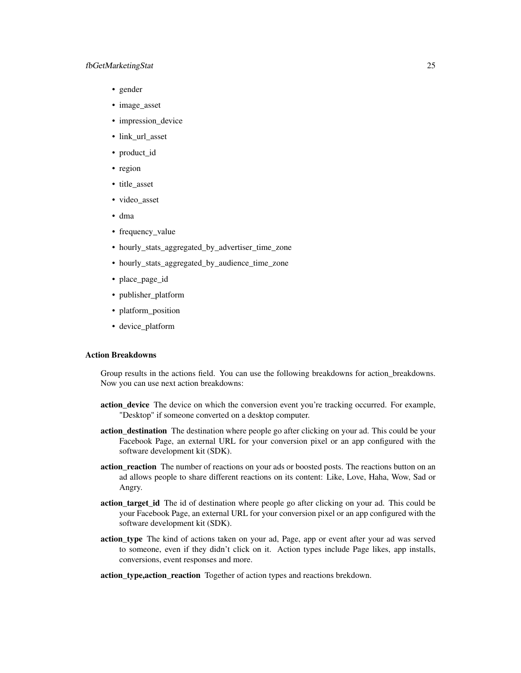#### fbGetMarketingStat 25

- gender
- image asset
- impression\_device
- link\_url\_asset
- product\_id
- region
- title\_asset
- video\_asset
- dma
- frequency\_value
- hourly\_stats\_aggregated\_by\_advertiser\_time\_zone
- hourly\_stats\_aggregated\_by\_audience\_time\_zone
- place\_page\_id
- publisher\_platform
- platform\_position
- device\_platform

## Action Breakdowns

Group results in the actions field. You can use the following breakdowns for action\_breakdowns. Now you can use next action breakdowns:

- action\_device The device on which the conversion event you're tracking occurred. For example, "Desktop" if someone converted on a desktop computer.
- action\_destination The destination where people go after clicking on your ad. This could be your Facebook Page, an external URL for your conversion pixel or an app configured with the software development kit (SDK).
- action\_reaction The number of reactions on your ads or boosted posts. The reactions button on an ad allows people to share different reactions on its content: Like, Love, Haha, Wow, Sad or Angry.
- action\_target\_id The id of destination where people go after clicking on your ad. This could be your Facebook Page, an external URL for your conversion pixel or an app configured with the software development kit (SDK).
- action\_type The kind of actions taken on your ad, Page, app or event after your ad was served to someone, even if they didn't click on it. Action types include Page likes, app installs, conversions, event responses and more.

#### action\_type,action\_reaction Together of action types and reactions brekdown.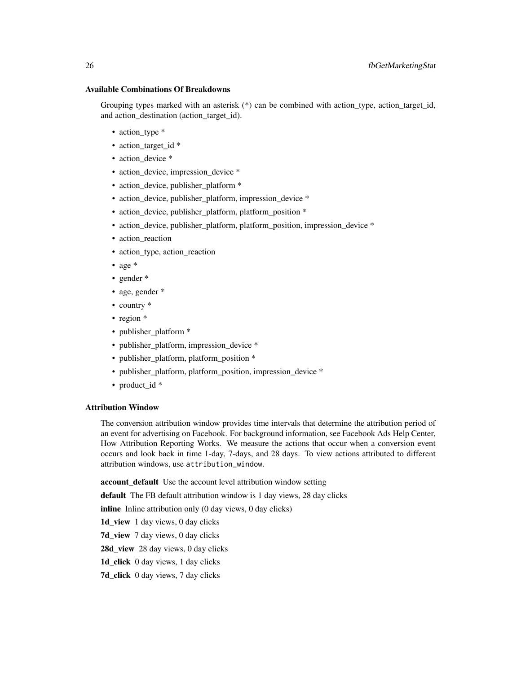#### Available Combinations Of Breakdowns

Grouping types marked with an asterisk  $(*)$  can be combined with action type, action target id, and action\_destination (action\_target\_id).

- action type \*
- action\_target\_id \*
- action\_device \*
- action\_device, impression\_device \*
- action\_device, publisher\_platform \*
- action\_device, publisher\_platform, impression\_device \*
- action\_device, publisher\_platform, platform\_position \*
- action\_device, publisher\_platform, platform\_position, impression\_device \*
- action\_reaction
- action\_type, action\_reaction
- age \*
- gender \*
- age, gender \*
- country  $*$
- region  $*$
- publisher\_platform \*
- publisher\_platform, impression\_device \*
- publisher\_platform, platform\_position \*
- publisher\_platform, platform\_position, impression\_device \*
- product id \*

#### Attribution Window

The conversion attribution window provides time intervals that determine the attribution period of an event for advertising on Facebook. For background information, see Facebook Ads Help Center, How Attribution Reporting Works. We measure the actions that occur when a conversion event occurs and look back in time 1-day, 7-days, and 28 days. To view actions attributed to different attribution windows, use attribution\_window.

account default Use the account level attribution window setting

default The FB default attribution window is 1 day views, 28 day clicks

inline Inline attribution only (0 day views, 0 day clicks)

1d\_view 1 day views, 0 day clicks

7d\_view 7 day views, 0 day clicks

28d\_view 28 day views, 0 day clicks

1d click 0 day views, 1 day clicks

7d\_click 0 day views, 7 day clicks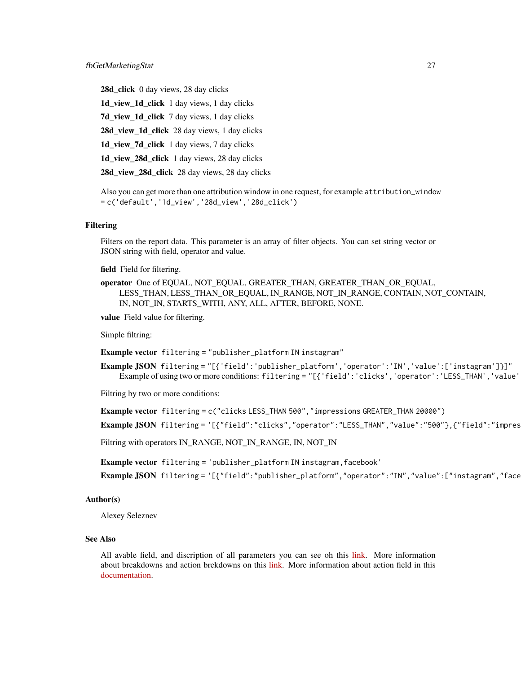28d\_click 0 day views, 28 day clicks 1d\_view\_1d\_click 1 day views, 1 day clicks 7d\_view\_1d\_click 7 day views, 1 day clicks 28d\_view\_1d\_click 28 day views, 1 day clicks 1d\_view\_7d\_click 1 day views, 7 day clicks 1d\_view\_28d\_click 1 day views, 28 day clicks 28d\_view\_28d\_click 28 day views, 28 day clicks

Also you can get more than one attribution window in one request, for example attribution\_window = c('default','1d\_view','28d\_view','28d\_click')

#### Filtering

Filters on the report data. This parameter is an array of filter objects. You can set string vector or JSON string with field, operator and value.

field Field for filtering.

operator One of EQUAL, NOT\_EQUAL, GREATER\_THAN, GREATER\_THAN\_OR\_EQUAL, LESS\_THAN, LESS\_THAN\_OR\_EQUAL, IN\_RANGE, NOT\_IN\_RANGE, CONTAIN, NOT\_CONTAIN, IN, NOT\_IN, STARTS\_WITH, ANY, ALL, AFTER, BEFORE, NONE.

value Field value for filtering.

Simple filtring:

Example vector filtering = "publisher\_platform IN instagram"

Example JSON filtering = "[{'field':'publisher\_platform','operator':'IN','value':['instagram']}]" Example of using two or more conditions: filtering = "[{'field':'clicks','operator':'LESS\_THAN','value'

Filtring by two or more conditions:

```
Example vector filtering = c("clicks LESS_THAN 500","impressions GREATER_THAN 20000")
Example JSON filtering = '[{"field":"clicks","operator":"LESS_THAN","value":"500"},{"field":"impres
```
Filtring with operators IN\_RANGE, NOT\_IN\_RANGE, IN, NOT\_IN

Example vector filtering = 'publisher\_platform IN instagram,facebook'

Example JSON filtering = '[{"field":"publisher\_platform","operator":"IN","value":["instagram","face

### Author(s)

Alexey Seleznev

#### See Also

All avable field, and discription of all parameters you can see oh this [link.](https://developers.facebook.com/docs/marketing-api/insights/parameters) More information about breakdowns and action brekdowns on this [link.](https://developers.facebook.com/docs/marketing-api/insights/breakdowns) More information about action field in this [documentation.](https://developers.facebook.com/docs/marketing-api/reference/ads-action-stats/)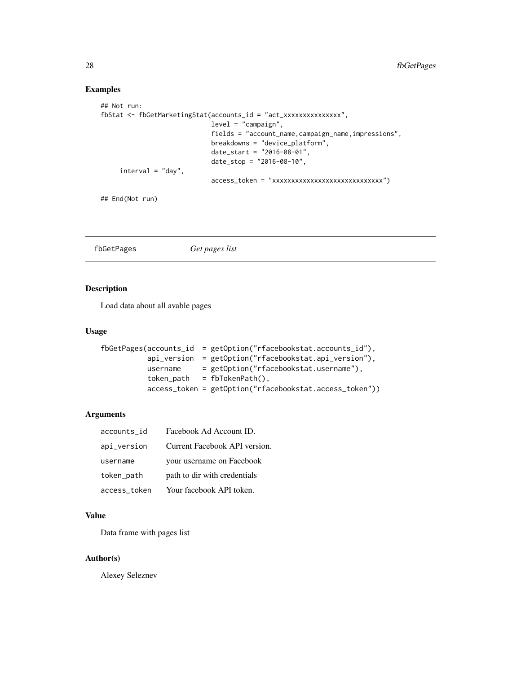## Examples

```
## Not run:
fbStat <- fbGetMarketingStat(accounts_id = "act_xxxxxxxxxxxxxxx",
                             level = "campaign",
                             fields = "account_name,campaign_name,impressions",
                             breakdowns = "device_platform",
                             date_start = "2016-08-01",
                             date_stop = "2016-08-10",
     interval = "day",
                             access_token = "xxxxxxxxxxxxxxxxxxxxxxxxxxxxx")
## End(Not run)
```

```
fbGetPages Get pages list
```
#### Description

Load data about all avable pages

### Usage

```
fbGetPages(accounts_id = getOption("rfacebookstat.accounts_id"),
          api_version = getOption("rfacebookstat.api_version"),
          username = getOption("rfacebookstat.username"),
          token_path = fbTokenPath(),
          access_token = getOption("rfacebookstat.access_token"))
```
#### Arguments

| accounts_id  | Facebook Ad Account ID.       |
|--------------|-------------------------------|
| api_version  | Current Facebook API version. |
| username     | your username on Facebook     |
| token_path   | path to dir with credentials  |
| access_token | Your facebook API token.      |

#### Value

Data frame with pages list

#### Author(s)

<span id="page-27-0"></span>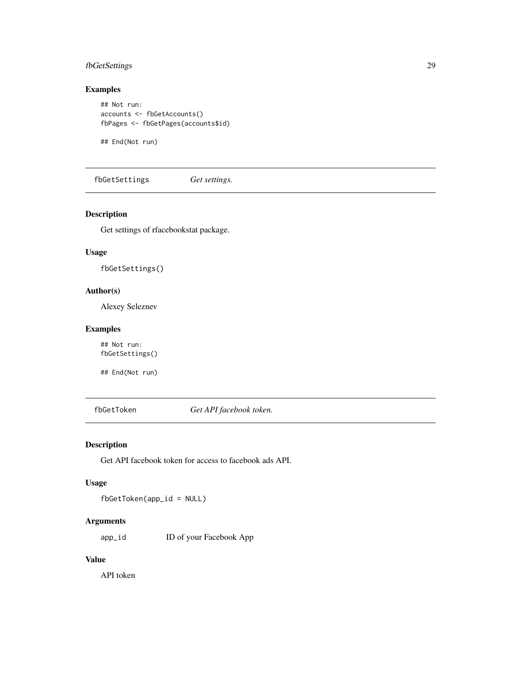## <span id="page-28-0"></span>fbGetSettings 29

## Examples

```
## Not run:
accounts <- fbGetAccounts()
fbPages <- fbGetPages(accounts$id)
```
## End(Not run)

fbGetSettings *Get settings.*

## Description

Get settings of rfacebookstat package.

#### Usage

fbGetSettings()

## Author(s)

Alexey Seleznev

#### Examples

## Not run: fbGetSettings()

## End(Not run)

fbGetToken *Get API facebook token.*

#### Description

Get API facebook token for access to facebook ads API.

## Usage

fbGetToken(app\_id = NULL)

## Arguments

app\_id ID of your Facebook App

## Value

API token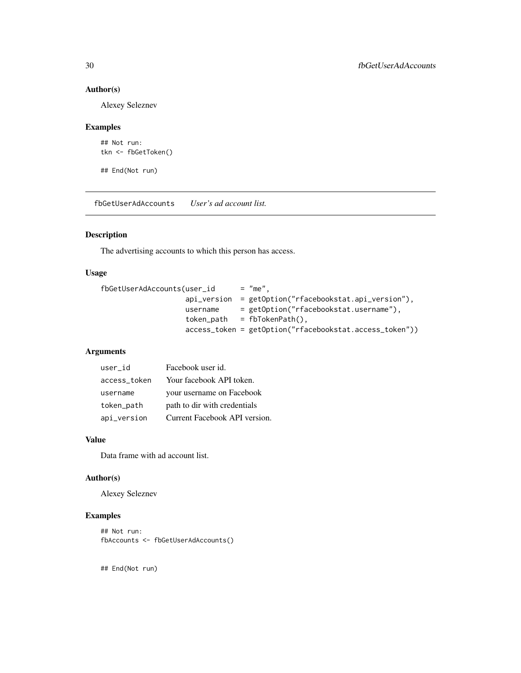## Author(s)

Alexey Seleznev

## Examples

```
## Not run:
tkn <- fbGetToken()
```
## End(Not run)

fbGetUserAdAccounts *User's ad account list.*

## Description

The advertising accounts to which this person has access.

#### Usage

```
fbGetUserAdAccounts(user_id = "me",
                   api_version = getOption("rfacebookstat.api_version"),
                   username = getOption("rfacebookstat.username"),
                   token\_path = fibTokenPath(),
                   access_token = getOption("rfacebookstat.access_token"))
```
## Arguments

| user_id      | Facebook user id.             |
|--------------|-------------------------------|
| access token | Your facebook API token.      |
| username     | your username on Facebook     |
| token_path   | path to dir with credentials  |
| api_version  | Current Facebook API version. |

#### Value

Data frame with ad account list.

#### Author(s)

Alexey Seleznev

## Examples

```
## Not run:
fbAccounts <- fbGetUserAdAccounts()
```
<span id="page-29-0"></span>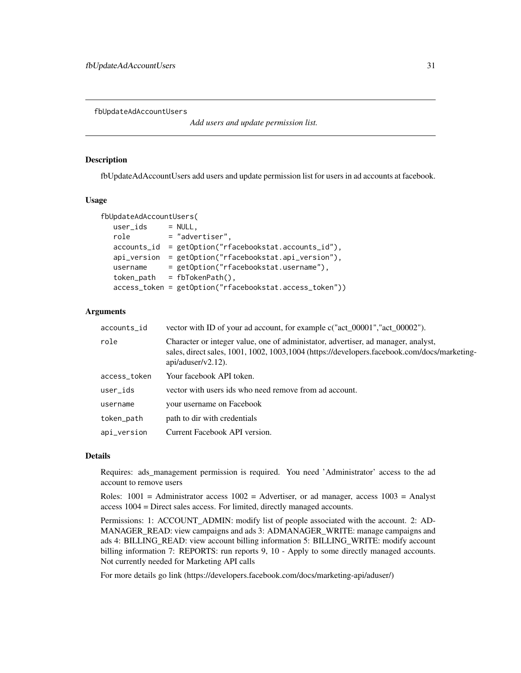<span id="page-30-0"></span>fbUpdateAdAccountUsers

*Add users and update permission list.*

#### **Description**

fbUpdateAdAccountUsers add users and update permission list for users in ad accounts at facebook.

#### Usage

```
fbUpdateAdAccountUsers(
  user\_ids = NULL,
  role = "advertiser",
  accounts_id = getOption("rfacebookstat.accounts_id"),
  api_version = getOption("rfacebookstat.api_version"),
  username = getOption("rfacebookstat.username"),
  token\_path = fibTokenPath(),
  access_token = getOption("rfacebookstat.access_token"))
```
#### Arguments

| accounts_id  | vector with ID of your ad account, for example c("act_00001","act_00002").                                                                                                                                 |  |
|--------------|------------------------------------------------------------------------------------------------------------------------------------------------------------------------------------------------------------|--|
| role         | Character or integer value, one of administator, advertiser, ad manager, analyst,<br>sales, direct sales, 1001, 1002, 1003, 1004 (https://developers.facebook.com/docs/marketing-<br>$api/aduser/v2.12)$ . |  |
| access_token | Your facebook API token.                                                                                                                                                                                   |  |
| user_ids     | vector with users ids who need remove from ad account.                                                                                                                                                     |  |
| username     | your username on Facebook                                                                                                                                                                                  |  |
| token_path   | path to dir with credentials                                                                                                                                                                               |  |
| api_version  | Current Facebook API version.                                                                                                                                                                              |  |

## Details

Requires: ads\_management permission is required. You need 'Administrator' access to the ad account to remove users

Roles:  $1001$  = Administrator access  $1002$  = Advertiser, or ad manager, access  $1003$  = Analyst access 1004 = Direct sales access. For limited, directly managed accounts.

Permissions: 1: ACCOUNT\_ADMIN: modify list of people associated with the account. 2: AD-MANAGER\_READ: view campaigns and ads 3: ADMANAGER\_WRITE: manage campaigns and ads 4: BILLING\_READ: view account billing information 5: BILLING\_WRITE: modify account billing information 7: REPORTS: run reports 9, 10 - Apply to some directly managed accounts. Not currently needed for Marketing API calls

For more details go link (https://developers.facebook.com/docs/marketing-api/aduser/)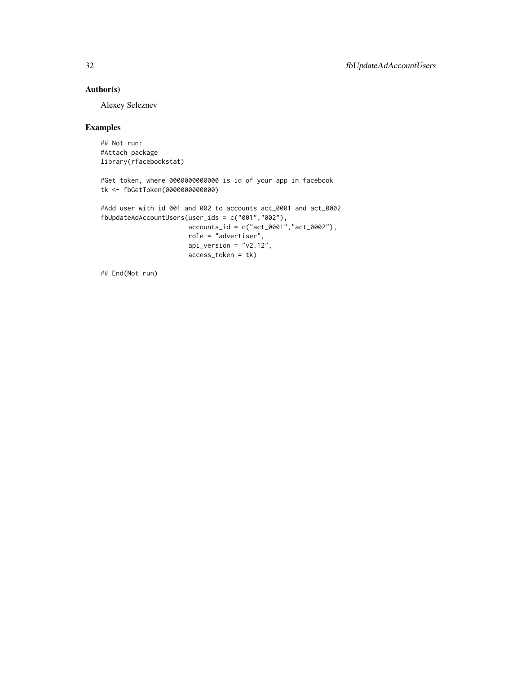## Author(s)

Alexey Seleznev

## Examples

## Not run: #Attach package library(rfacebookstat)

#Get token, where 0000000000000 is id of your app in facebook tk <- fbGetToken(0000000000000)

```
#Add user with id 001 and 002 to accounts act_0001 and act_0002
fbUpdateAdAccountUsers(user_ids = c("001","002"),
                      accounts_id = c("act_0001","act_0002"),
```

```
role = "advertiser",
api_version = "v2.12",
access_token = tk)
```